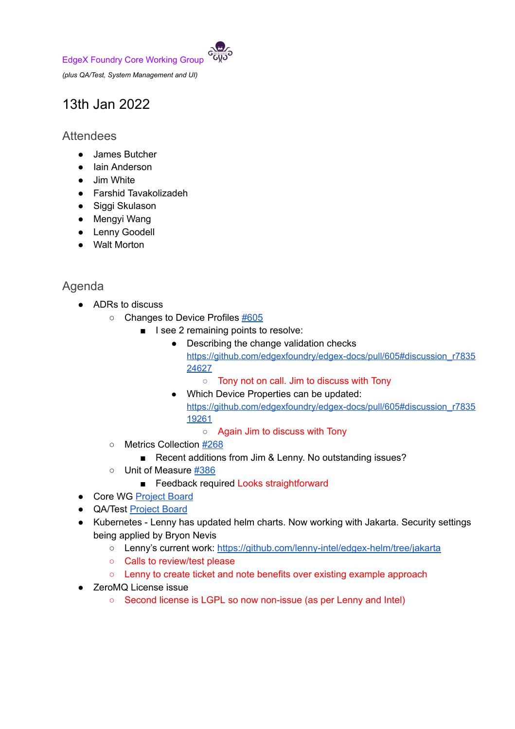EdgeX Foundry Core Working Group



*(plus QA/Test, System Management and UI)*

## 13th Jan 2022

## **Attendees**

- James Butcher
- Iain Anderson
- Jim White
- Farshid Tavakolizadeh
- Siggi Skulason
- Mengyi Wang
- Lenny Goodell
- Walt Morton

## Agenda

- ADRs to discuss
	- Changes to Device Profiles [#605](https://github.com/edgexfoundry/edgex-docs/pull/605)
		- I see 2 remaining points to resolve:
			- Describing the change validation checks [https://github.com/edgexfoundry/edgex-docs/pull/605#discussion\\_r7835](https://github.com/edgexfoundry/edgex-docs/pull/605#discussion_r783524627) [24627](https://github.com/edgexfoundry/edgex-docs/pull/605#discussion_r783524627)
				- Tony not on call. Jim to discuss with Tony
			- Which Device Properties can be updated: [https://github.com/edgexfoundry/edgex-docs/pull/605#discussion\\_r7835](https://github.com/edgexfoundry/edgex-docs/pull/605#discussion_r783519261) [19261](https://github.com/edgexfoundry/edgex-docs/pull/605#discussion_r783519261)
				- Again Jim to discuss with Tony
		- Metrics Collection [#268](https://github.com/edgexfoundry/edgex-docs/pull/268)
			- Recent additions from Jim & Lenny. No outstanding issues?
		- Unit of Measure [#386](https://github.com/edgexfoundry/edgex-docs/pull/386)
			- Feedback required Looks straightforward
- Core WG [Project](https://github.com/orgs/edgexfoundry/projects/25) Board
- QA/Test [Project](https://github.com/orgs/edgexfoundry/projects/27) Board
- Kubernetes Lenny has updated helm charts. Now working with Jakarta. Security settings being applied by Bryon Nevis
	- Lenny's current work: <https://github.com/lenny-intel/edgex-helm/tree/jakarta>
	- Calls to review/test please
	- Lenny to create ticket and note benefits over existing example approach
- ZeroMQ License issue
	- Second license is LGPL so now non-issue (as per Lenny and Intel)